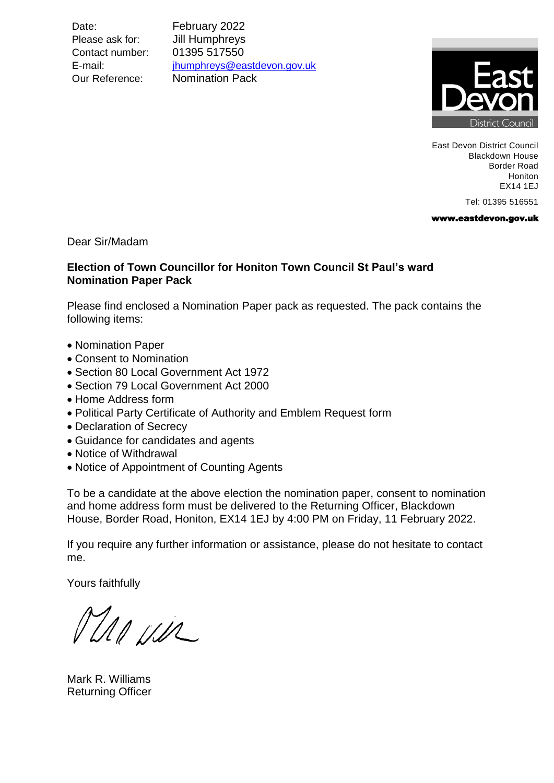Date: February 2022 Please ask for: **Jill Humphreys** Contact number: 01395 517550

E-mail: [jhumphreys@eastdevon.gov.uk](mailto:jhumphreys@eastdevon.gov.uk) Our Reference: Nomination Pack



East Devon District Council Blackdown House Border Road Honiton EX14 1EJ

Tel: 01395 516551

www.eastdevon.gov.uk

Dear Sir/Madam

### **Election of Town Councillor for Honiton Town Council St Paul's ward Nomination Paper Pack**

Please find enclosed a Nomination Paper pack as requested. The pack contains the following items:

- Nomination Paper
- Consent to Nomination
- Section 80 Local Government Act 1972
- Section 79 Local Government Act 2000
- Home Address form
- Political Party Certificate of Authority and Emblem Request form
- Declaration of Secrecy
- Guidance for candidates and agents
- Notice of Withdrawal
- Notice of Appointment of Counting Agents

To be a candidate at the above election the nomination paper, consent to nomination and home address form must be delivered to the Returning Officer, Blackdown House, Border Road, Honiton, EX14 1EJ by 4:00 PM on Friday, 11 February 2022.

If you require any further information or assistance, please do not hesitate to contact me.

Yours faithfully

DIA USIL

Mark R. Williams Returning Officer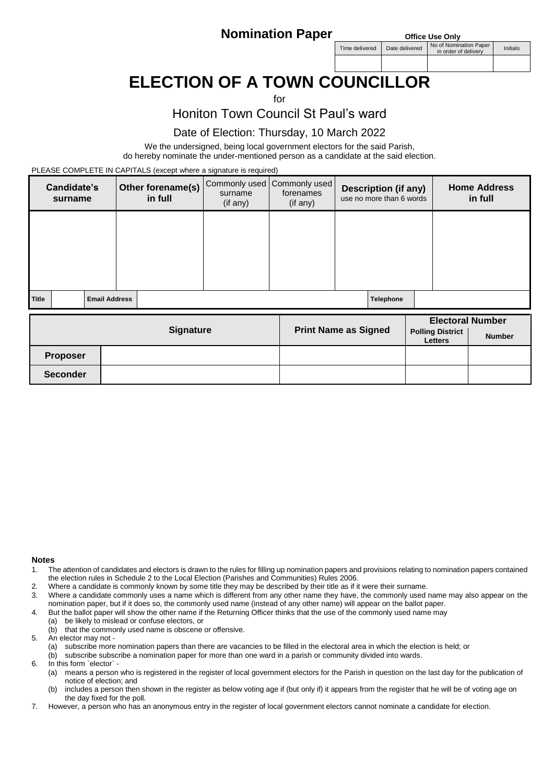**Nomination Paper Office Use Only** 

Time delivered Date delivered No of Nomination Pape or informination Paper<br>in order of delivery limitials

# **ELECTION OF A TOWN COUNCILLOR**

#### $f$

Honiton Town Council St Paul's ward

### Date of Election: Thursday, 10 March 2022

We the undersigned, being local government electors for the said Parish, do hereby nominate the under-mentioned person as a candidate at the said election.

PLEASE COMPLETE IN CAPITALS (except where a signature is required)

|       | Candidate's<br>surname                 |                      |  | Other forename(s)<br>in full | surname<br>(if any) | Commonly used   Commonly used  <br>forenames<br>(if any) | <b>Description (if any)</b><br>use no more than 6 words | <b>Home Address</b><br>in full |
|-------|----------------------------------------|----------------------|--|------------------------------|---------------------|----------------------------------------------------------|---------------------------------------------------------|--------------------------------|
|       |                                        |                      |  |                              |                     |                                                          |                                                         |                                |
|       |                                        |                      |  |                              |                     |                                                          |                                                         |                                |
|       |                                        |                      |  |                              |                     |                                                          |                                                         |                                |
| Title |                                        | <b>Email Address</b> |  |                              |                     |                                                          | Telephone                                               |                                |
|       | $\mathbf{A}$ . The set of $\mathbf{A}$ |                      |  |                              |                     |                                                          | <b>Electoral Number</b>                                 |                                |

|                 | <b>Signature</b> | <b>Print Name as Signed</b> | <b>Polling District</b><br><b>Letters</b> | -----------------<br><b>Number</b> |
|-----------------|------------------|-----------------------------|-------------------------------------------|------------------------------------|
| <b>Proposer</b> |                  |                             |                                           |                                    |
| <b>Seconder</b> |                  |                             |                                           |                                    |

#### **Notes**

- 1. The attention of candidates and electors is drawn to the rules for filling up nomination papers and provisions relating to nomination papers contained the election rules in Schedule 2 to the Local Election (Parishes and Communities) Rules 2006.
- 2. Where a candidate is commonly known by some title they may be described by their title as if it were their surname.
- 3. Where a candidate commonly uses a name which is different from any other name they have, the commonly used name may also appear on the nomination paper, but if it does so, the commonly used name (instead of any other name) will appear on the ballot paper.
- 4. But the ballot paper will show the other name if the Returning Officer thinks that the use of the commonly used name may
- (a) be likely to mislead or confuse electors, or
	- (b) that the commonly used name is obscene or offensive.
- 5. An elector may not
	- (a) subscribe more nomination papers than there are vacancies to be filled in the electoral area in which the election is held; or
	- (b) subscribe subscribe a nomination paper for more than one ward in a parish or community divided into wards.
- 6. In this form `elector`
	- (a) means a person who is registered in the register of local government electors for the Parish in question on the last day for the publication of notice of election; and
	- (b) includes a person then shown in the register as below voting age if (but only if) it appears from the register that he will be of voting age on the day fixed for the poll.
- 7. However, a person who has an anonymous entry in the register of local government electors cannot nominate a candidate for election.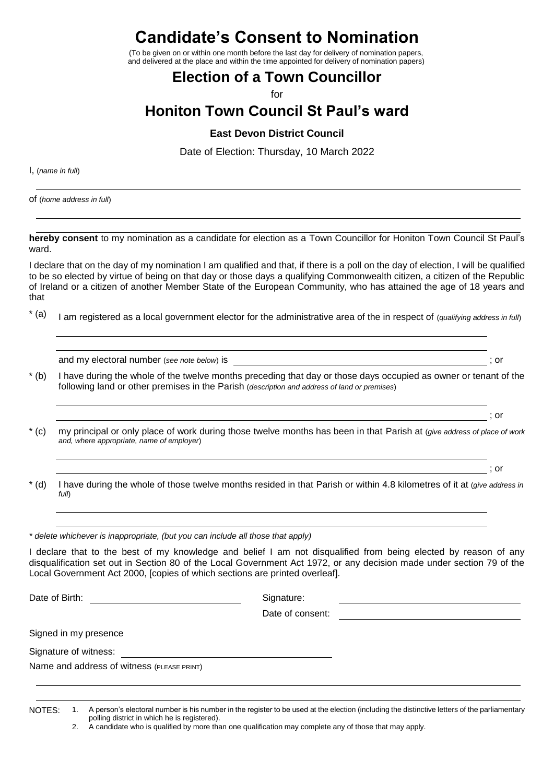**Candidate's Consent to Nomination**

(To be given on or within one month before the last day for delivery of nomination papers, and delivered at the place and within the time appointed for delivery of nomination papers)

### **Election of a Town Councillor**

for

# **Honiton Town Council St Paul's ward**

### **East Devon District Council**

Date of Election: Thursday, 10 March 2022

I, (*name in full*)

of (*home address in full*)

**hereby consent** to my nomination as a candidate for election as a Town Councillor for Honiton Town Council St Paul's ward.

I declare that on the day of my nomination I am qualified and that, if there is a poll on the day of election, I will be qualified to be so elected by virtue of being on that day or those days a qualifying Commonwealth citizen, a citizen of the Republic of Ireland or a citizen of another Member State of the European Community, who has attained the age of 18 years and that

\* (a) I am registered as a local government elector for the administrative area of the in respect of (*qualifying address in full*)

and my electoral number (*see note below*) is  $\cdot$  ; or

- \* (b) I have during the whole of the twelve months preceding that day or those days occupied as owner or tenant of the following land or other premises in the Parish (*description and address of land or premises*)
- \* (c) my principal or only place of work during those twelve months has been in that Parish at (*give address of place of work and, where appropriate, name of employer*)
	- ; or

; or

\* (d) I have during the whole of those twelve months resided in that Parish or within 4.8 kilometres of it at (*give address in full*)

*\* delete whichever is inappropriate, (but you can include all those that apply)*

I declare that to the best of my knowledge and belief I am not disqualified from being elected by reason of any disqualification set out in Section 80 of the Local Government Act 1972, or any decision made under section 79 of the Local Government Act 2000, [copies of which sections are printed overleaf].

Date of Birth: Signature: Signature: Signature: Signature: Signature: Signature: Signature: Signature: Signature: Signature: Signature: Signature: Signature: Signature: Signature: Signature: Signature: Signature: Signature

Date of consent:

Signed in my presence

Signature of witness:

Name and address of witness (PLEASE PRINT)

NOTES: 1. A person's electoral number is his number in the register to be used at the election (including the distinctive letters of the parliamentary polling district in which he is registered).

2. A candidate who is qualified by more than one qualification may complete any of those that may apply.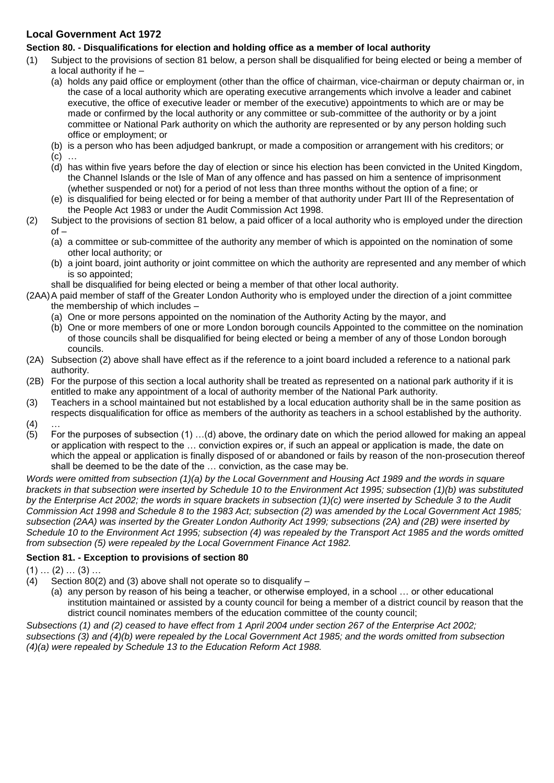### **Local Government Act 1972**

### **Section 80. - Disqualifications for election and holding office as a member of local authority**

- (1) Subject to the provisions of section 81 below, a person shall be disqualified for being elected or being a member of a local authority if he –
	- (a) holds any paid office or employment (other than the office of chairman, vice-chairman or deputy chairman or, in the case of a local authority which are operating executive arrangements which involve a leader and cabinet executive, the office of executive leader or member of the executive) appointments to which are or may be made or confirmed by the local authority or any committee or sub-committee of the authority or by a joint committee or National Park authority on which the authority are represented or by any person holding such office or employment; or
	- (b) is a person who has been adjudged bankrupt, or made a composition or arrangement with his creditors; or
	- $(c)$  ...
	- (d) has within five years before the day of election or since his election has been convicted in the United Kingdom, the Channel Islands or the Isle of Man of any offence and has passed on him a sentence of imprisonment (whether suspended or not) for a period of not less than three months without the option of a fine; or
	- (e) is disqualified for being elected or for being a member of that authority under Part III of the Representation of the People Act 1983 or under the Audit Commission Act 1998.
- (2) Subject to the provisions of section 81 below, a paid officer of a local authority who is employed under the direction  $of -$ 
	- (a) a committee or sub-committee of the authority any member of which is appointed on the nomination of some other local authority; or
	- (b) a joint board, joint authority or joint committee on which the authority are represented and any member of which is so appointed;
	- shall be disqualified for being elected or being a member of that other local authority.
- (2AA)A paid member of staff of the Greater London Authority who is employed under the direction of a joint committee the membership of which includes –
	- (a) One or more persons appointed on the nomination of the Authority Acting by the mayor, and
	- (b) One or more members of one or more London borough councils Appointed to the committee on the nomination of those councils shall be disqualified for being elected or being a member of any of those London borough councils.
- (2A) Subsection (2) above shall have effect as if the reference to a joint board included a reference to a national park authority.
- (2B) For the purpose of this section a local authority shall be treated as represented on a national park authority if it is entitled to make any appointment of a local of authority member of the National Park authority.
- (3) Teachers in a school maintained but not established by a local education authority shall be in the same position as respects disqualification for office as members of the authority as teachers in a school established by the authority.  $(4)$  ...
- 
- (5) For the purposes of subsection (1) …(d) above, the ordinary date on which the period allowed for making an appeal or application with respect to the … conviction expires or, if such an appeal or application is made, the date on which the appeal or application is finally disposed of or abandoned or fails by reason of the non-prosecution thereof shall be deemed to be the date of the … conviction, as the case may be.

*Words were omitted from subsection (1)(a) by the Local Government and Housing Act 1989 and the words in square brackets in that subsection were inserted by Schedule 10 to the Environment Act 1995; subsection (1)(b) was substituted by the Enterprise Act 2002; the words in square brackets in subsection (1)(c) were inserted by Schedule 3 to the Audit Commission Act 1998 and Schedule 8 to the 1983 Act; subsection (2) was amended by the Local Government Act 1985; subsection (2AA) was inserted by the Greater London Authority Act 1999; subsections (2A) and (2B) were inserted by Schedule 10 to the Environment Act 1995; subsection (4) was repealed by the Transport Act 1985 and the words omitted from subsection (5) were repealed by the Local Government Finance Act 1982.*

### **Section 81. - Exception to provisions of section 80**

- $(1)$  …  $(2)$  …  $(3)$  …
- (4) Section 80(2) and (3) above shall not operate so to disqualify
	- (a) any person by reason of his being a teacher, or otherwise employed, in a school … or other educational institution maintained or assisted by a county council for being a member of a district council by reason that the district council nominates members of the education committee of the county council;

*Subsections (1) and (2) ceased to have effect from 1 April 2004 under section 267 of the Enterprise Act 2002; subsections (3) and (4)(b) were repealed by the Local Government Act 1985; and the words omitted from subsection (4)(a) were repealed by Schedule 13 to the Education Reform Act 1988.*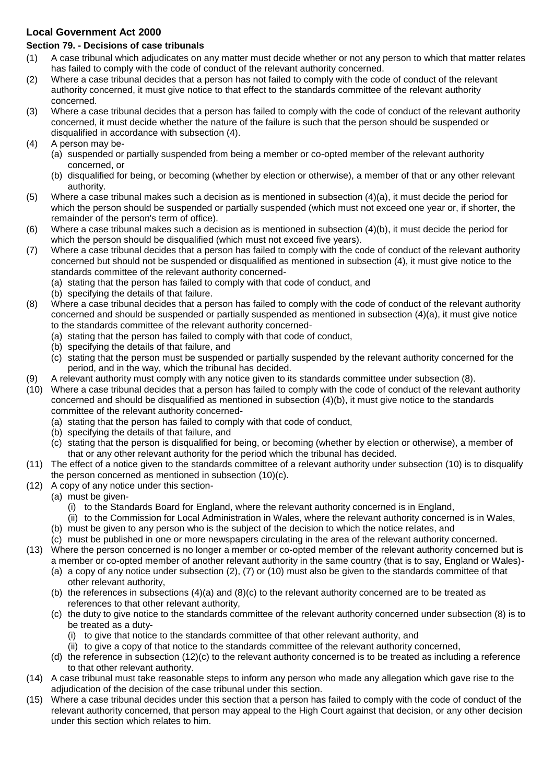### **Local Government Act 2000**

### **Section 79. - Decisions of case tribunals**

- (1) A case tribunal which adjudicates on any matter must decide whether or not any person to which that matter relates has failed to comply with the code of conduct of the relevant authority concerned.
- (2) Where a case tribunal decides that a person has not failed to comply with the code of conduct of the relevant authority concerned, it must give notice to that effect to the standards committee of the relevant authority concerned.
- (3) Where a case tribunal decides that a person has failed to comply with the code of conduct of the relevant authority concerned, it must decide whether the nature of the failure is such that the person should be suspended or disqualified in accordance with subsection (4).
- (4) A person may be-
	- (a) suspended or partially suspended from being a member or co-opted member of the relevant authority concerned, or
	- (b) disqualified for being, or becoming (whether by election or otherwise), a member of that or any other relevant authority.
- (5) Where a case tribunal makes such a decision as is mentioned in subsection (4)(a), it must decide the period for which the person should be suspended or partially suspended (which must not exceed one year or, if shorter, the remainder of the person's term of office).
- (6) Where a case tribunal makes such a decision as is mentioned in subsection (4)(b), it must decide the period for which the person should be disqualified (which must not exceed five years).
- (7) Where a case tribunal decides that a person has failed to comply with the code of conduct of the relevant authority concerned but should not be suspended or disqualified as mentioned in subsection (4), it must give notice to the standards committee of the relevant authority concerned-
	- (a) stating that the person has failed to comply with that code of conduct, and
	- (b) specifying the details of that failure.
- (8) Where a case tribunal decides that a person has failed to comply with the code of conduct of the relevant authority concerned and should be suspended or partially suspended as mentioned in subsection (4)(a), it must give notice to the standards committee of the relevant authority concerned-
	- (a) stating that the person has failed to comply with that code of conduct,
	- (b) specifying the details of that failure, and
	- (c) stating that the person must be suspended or partially suspended by the relevant authority concerned for the period, and in the way, which the tribunal has decided.
- (9) A relevant authority must comply with any notice given to its standards committee under subsection (8).
- (10) Where a case tribunal decides that a person has failed to comply with the code of conduct of the relevant authority concerned and should be disqualified as mentioned in subsection (4)(b), it must give notice to the standards committee of the relevant authority concerned-
	- (a) stating that the person has failed to comply with that code of conduct,
	- (b) specifying the details of that failure, and
	- (c) stating that the person is disqualified for being, or becoming (whether by election or otherwise), a member of that or any other relevant authority for the period which the tribunal has decided.
- (11) The effect of a notice given to the standards committee of a relevant authority under subsection (10) is to disqualify the person concerned as mentioned in subsection (10)(c).
- (12) A copy of any notice under this section-
	- (a) must be given-
		- (i) to the Standards Board for England, where the relevant authority concerned is in England,
		- (ii) to the Commission for Local Administration in Wales, where the relevant authority concerned is in Wales,
		- (b) must be given to any person who is the subject of the decision to which the notice relates, and
		- (c) must be published in one or more newspapers circulating in the area of the relevant authority concerned.
- (13) Where the person concerned is no longer a member or co-opted member of the relevant authority concerned but is a member or co-opted member of another relevant authority in the same country (that is to say, England or Wales)-
	- (a) a copy of any notice under subsection (2), (7) or (10) must also be given to the standards committee of that other relevant authority,
	- (b) the references in subsections (4)(a) and (8)(c) to the relevant authority concerned are to be treated as references to that other relevant authority,
	- (c) the duty to give notice to the standards committee of the relevant authority concerned under subsection (8) is to be treated as a duty-
		- (i) to give that notice to the standards committee of that other relevant authority, and
		- (ii) to give a copy of that notice to the standards committee of the relevant authority concerned,
	- (d) the reference in subsection (12)(c) to the relevant authority concerned is to be treated as including a reference to that other relevant authority.
- (14) A case tribunal must take reasonable steps to inform any person who made any allegation which gave rise to the adjudication of the decision of the case tribunal under this section.
- (15) Where a case tribunal decides under this section that a person has failed to comply with the code of conduct of the relevant authority concerned, that person may appeal to the High Court against that decision, or any other decision under this section which relates to him.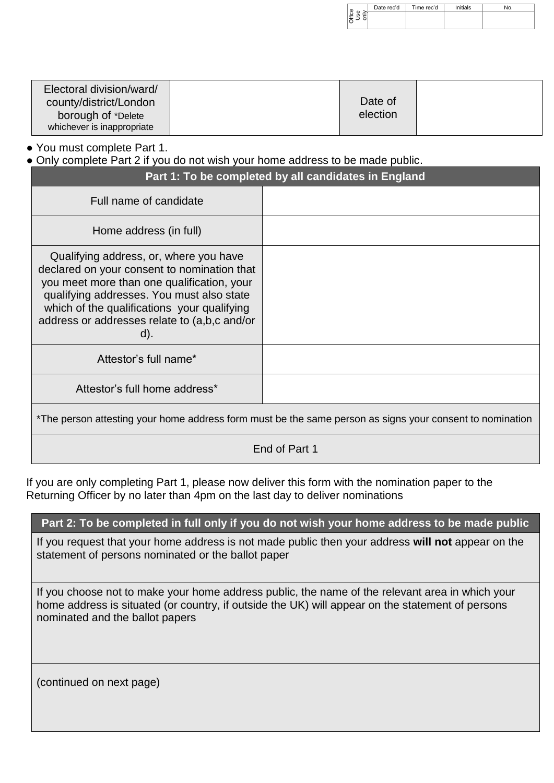|           | Date rec'd | Time rec'd | `≅∺ials |  |
|-----------|------------|------------|---------|--|
| fice<br>≖ |            |            |         |  |
| ◡         |            |            |         |  |

| Electoral division/ward/   |          |  |
|----------------------------|----------|--|
| county/district/London     | Date of  |  |
| borough of *Delete         | election |  |
| whichever is inappropriate |          |  |

● You must complete Part 1.

● Only complete Part 2 if you do not wish your home address to be made public.

|                                                                                                                                                                                                                                                                                           | Part 1: To be completed by all candidates in England                                                     |
|-------------------------------------------------------------------------------------------------------------------------------------------------------------------------------------------------------------------------------------------------------------------------------------------|----------------------------------------------------------------------------------------------------------|
| Full name of candidate                                                                                                                                                                                                                                                                    |                                                                                                          |
| Home address (in full)                                                                                                                                                                                                                                                                    |                                                                                                          |
| Qualifying address, or, where you have<br>declared on your consent to nomination that<br>you meet more than one qualification, your<br>qualifying addresses. You must also state<br>which of the qualifications your qualifying<br>address or addresses relate to (a,b,c and/or<br>$d$ ). |                                                                                                          |
| Attestor's full name*                                                                                                                                                                                                                                                                     |                                                                                                          |
| Attestor's full home address*                                                                                                                                                                                                                                                             |                                                                                                          |
|                                                                                                                                                                                                                                                                                           | *The person attesting your home address form must be the same person as signs your consent to nomination |
|                                                                                                                                                                                                                                                                                           | End of Part 1                                                                                            |

If you are only completing Part 1, please now deliver this form with the nomination paper to the Returning Officer by no later than 4pm on the last day to deliver nominations

### **Part 2: To be completed in full only if you do not wish your home address to be made public**

If you request that your home address is not made public then your address **will not** appear on the statement of persons nominated or the ballot paper

If you choose not to make your home address public, the name of the relevant area in which your home address is situated (or country, if outside the UK) will appear on the statement of persons nominated and the ballot papers

(continued on next page)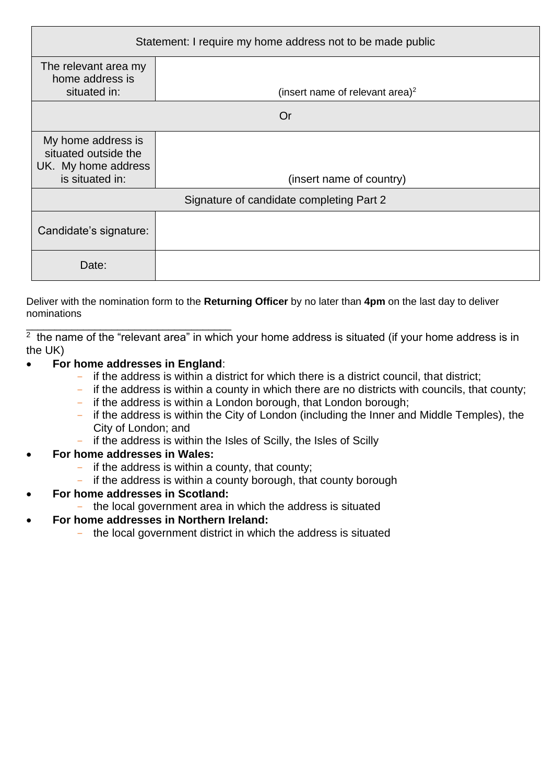| Statement: I require my home address not to be made public                           |                                             |  |  |  |  |
|--------------------------------------------------------------------------------------|---------------------------------------------|--|--|--|--|
| The relevant area my<br>home address is<br>situated in:                              | (insert name of relevant area) <sup>2</sup> |  |  |  |  |
| Or                                                                                   |                                             |  |  |  |  |
| My home address is<br>situated outside the<br>UK. My home address<br>is situated in: | (insert name of country)                    |  |  |  |  |
|                                                                                      | Signature of candidate completing Part 2    |  |  |  |  |
| Candidate's signature:                                                               |                                             |  |  |  |  |
| Date:                                                                                |                                             |  |  |  |  |

Deliver with the nomination form to the **Returning Officer** by no later than **4pm** on the last day to deliver nominations

\_\_\_\_\_\_\_\_\_\_\_\_\_\_\_\_\_\_\_\_\_\_\_\_\_\_\_\_\_\_\_\_\_\_\_\_  $2$  the name of the "relevant area" in which your home address is situated (if your home address is in the UK)

### **For home addresses in England**:

- if the address is within a district for which there is a district council, that district;
- if the address is within a county in which there are no districts with councils, that county;
- if the address is within a London borough, that London borough;
- if the address is within the City of London (including the Inner and Middle Temples), the City of London; and
- if the address is within the Isles of Scilly, the Isles of Scilly

### **For home addresses in Wales:**

- if the address is within a county, that county;
- if the address is within a county borough, that county borough
- **For home addresses in Scotland:**
	- the local government area in which the address is situated
- **For home addresses in Northern Ireland:**
	- the local government district in which the address is situated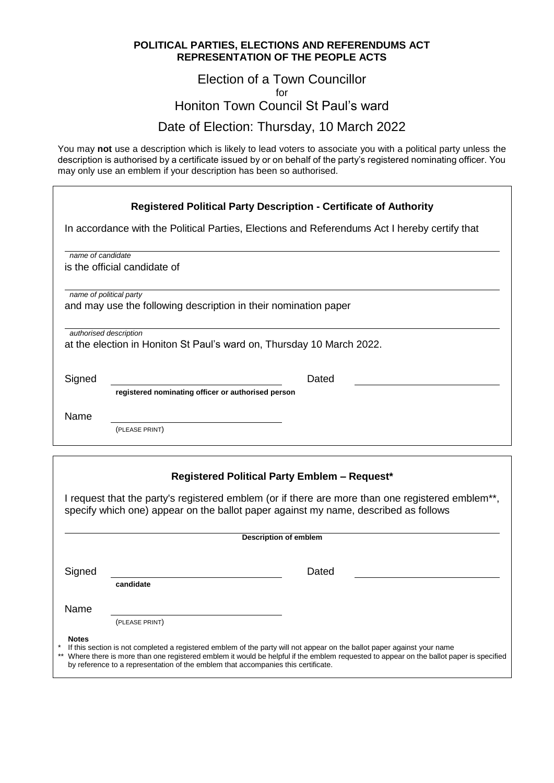### **POLITICAL PARTIES, ELECTIONS AND REFERENDUMS ACT REPRESENTATION OF THE PEOPLE ACTS**

### Election of a Town Councillor for Honiton Town Council St Paul's ward Date of Election: Thursday, 10 March 2022

You may **not** use a description which is likely to lead voters to associate you with a political party unless the description is authorised by a certificate issued by or on behalf of the party's registered nominating officer. You may only use an emblem if your description has been so authorised.

|                   | <b>Registered Political Party Description - Certificate of Authority</b>                                                                                                                      |
|-------------------|-----------------------------------------------------------------------------------------------------------------------------------------------------------------------------------------------|
|                   | In accordance with the Political Parties, Elections and Referendums Act I hereby certify that                                                                                                 |
| name of candidate |                                                                                                                                                                                               |
|                   | is the official candidate of                                                                                                                                                                  |
|                   | name of political party<br>and may use the following description in their nomination paper<br>authorised description<br>at the election in Honiton St Paul's ward on, Thursday 10 March 2022. |
| Signed            | Dated<br>registered nominating officer or authorised person                                                                                                                                   |
| Name              | (PLEASE PRINT)                                                                                                                                                                                |

### **Registered Political Party Emblem – Request\***

I request that the party's registered emblem (or if there are more than one registered emblem\*\*, specify which one) appear on the ballot paper against my name, described as follows

|              | <b>Description of emblem</b>                                                                                                                                                                                                                                                                                                                             |       |  |  |  |  |
|--------------|----------------------------------------------------------------------------------------------------------------------------------------------------------------------------------------------------------------------------------------------------------------------------------------------------------------------------------------------------------|-------|--|--|--|--|
| Signed       | candidate                                                                                                                                                                                                                                                                                                                                                | Dated |  |  |  |  |
| Name         | (PLEASE PRINT)                                                                                                                                                                                                                                                                                                                                           |       |  |  |  |  |
| <b>Notes</b> | If this section is not completed a registered emblem of the party will not appear on the ballot paper against your name<br>** Where there is more than one registered emblem it would be helpful if the emblem requested to appear on the ballot paper is specified<br>by reference to a representation of the emblem that accompanies this certificate. |       |  |  |  |  |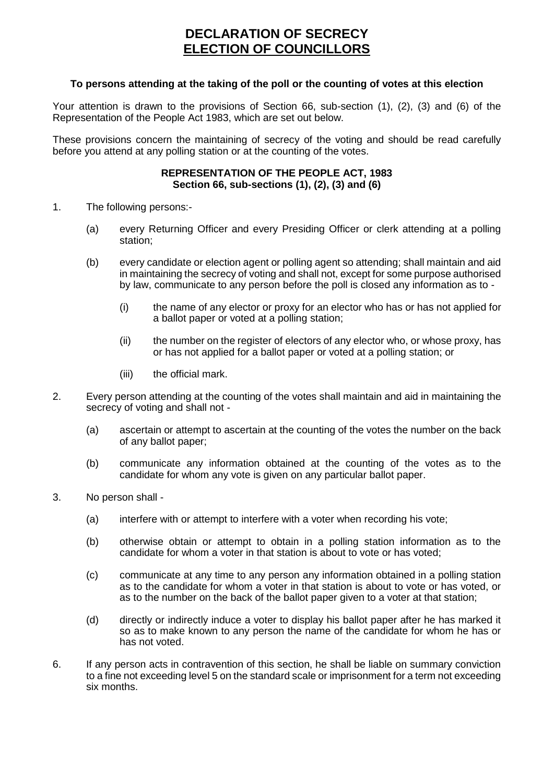### **DECLARATION OF SECRECY ELECTION OF COUNCILLORS**

#### **To persons attending at the taking of the poll or the counting of votes at this election**

Your attention is drawn to the provisions of Section 66, sub-section (1), (2), (3) and (6) of the Representation of the People Act 1983, which are set out below.

These provisions concern the maintaining of secrecy of the voting and should be read carefully before you attend at any polling station or at the counting of the votes.

#### **REPRESENTATION OF THE PEOPLE ACT, 1983 Section 66, sub-sections (1), (2), (3) and (6)**

- 1. The following persons:-
	- (a) every Returning Officer and every Presiding Officer or clerk attending at a polling station;
	- (b) every candidate or election agent or polling agent so attending; shall maintain and aid in maintaining the secrecy of voting and shall not, except for some purpose authorised by law, communicate to any person before the poll is closed any information as to -
		- (i) the name of any elector or proxy for an elector who has or has not applied for a ballot paper or voted at a polling station;
		- (ii) the number on the register of electors of any elector who, or whose proxy, has or has not applied for a ballot paper or voted at a polling station; or
		- (iii) the official mark.
- 2. Every person attending at the counting of the votes shall maintain and aid in maintaining the secrecy of voting and shall not -
	- (a) ascertain or attempt to ascertain at the counting of the votes the number on the back of any ballot paper;
	- (b) communicate any information obtained at the counting of the votes as to the candidate for whom any vote is given on any particular ballot paper.
- 3. No person shall
	- (a) interfere with or attempt to interfere with a voter when recording his vote;
	- (b) otherwise obtain or attempt to obtain in a polling station information as to the candidate for whom a voter in that station is about to vote or has voted;
	- (c) communicate at any time to any person any information obtained in a polling station as to the candidate for whom a voter in that station is about to vote or has voted, or as to the number on the back of the ballot paper given to a voter at that station;
	- (d) directly or indirectly induce a voter to display his ballot paper after he has marked it so as to make known to any person the name of the candidate for whom he has or has not voted.
- 6. If any person acts in contravention of this section, he shall be liable on summary conviction to a fine not exceeding level 5 on the standard scale or imprisonment for a term not exceeding six months.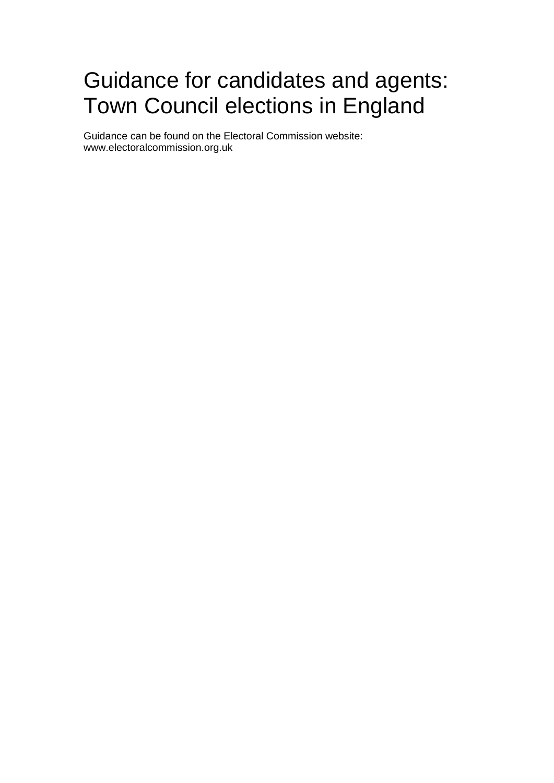# Guidance for candidates and agents: Town Council elections in England

Guidance can be found on the Electoral Commission website: www.electoralcommission.org.uk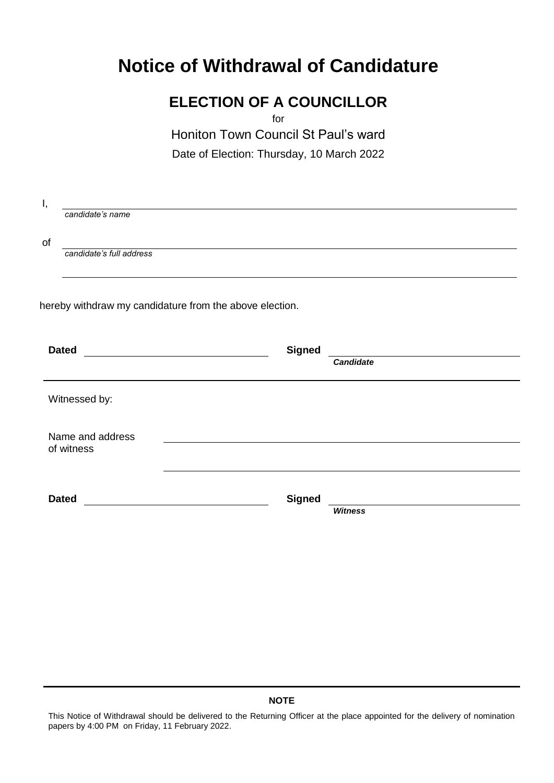# **Notice of Withdrawal of Candidature**

# **ELECTION OF A COUNCILLOR**

for

Honiton Town Council St Paul's ward

Date of Election: Thursday, 10 March 2022

| Ι, |                          |                                                                                                                                       |                  |
|----|--------------------------|---------------------------------------------------------------------------------------------------------------------------------------|------------------|
|    | candidate's name         |                                                                                                                                       |                  |
| of |                          |                                                                                                                                       |                  |
|    | candidate's full address |                                                                                                                                       |                  |
|    |                          |                                                                                                                                       |                  |
|    |                          |                                                                                                                                       |                  |
|    |                          | hereby withdraw my candidature from the above election.                                                                               |                  |
|    |                          |                                                                                                                                       |                  |
|    | <b>Dated</b>             | <b>Signed</b><br><u> 1980 - Johann Barn, mars ar breithinn ar breithinn ar breithinn ar breithinn ar breithinn ar breithinn ar br</u> |                  |
|    |                          |                                                                                                                                       | <b>Candidate</b> |
|    | Witnessed by:            |                                                                                                                                       |                  |
|    |                          |                                                                                                                                       |                  |
|    | Name and address         |                                                                                                                                       |                  |
|    | of witness               |                                                                                                                                       |                  |
|    |                          |                                                                                                                                       |                  |
|    |                          |                                                                                                                                       |                  |
|    | <b>Dated</b>             | <b>Signed</b>                                                                                                                         |                  |
|    |                          |                                                                                                                                       | <b>Witness</b>   |
|    |                          |                                                                                                                                       |                  |

### **NOTE**

This Notice of Withdrawal should be delivered to the Returning Officer at the place appointed for the delivery of nomination papers by 4:00 PM on Friday, 11 February 2022.